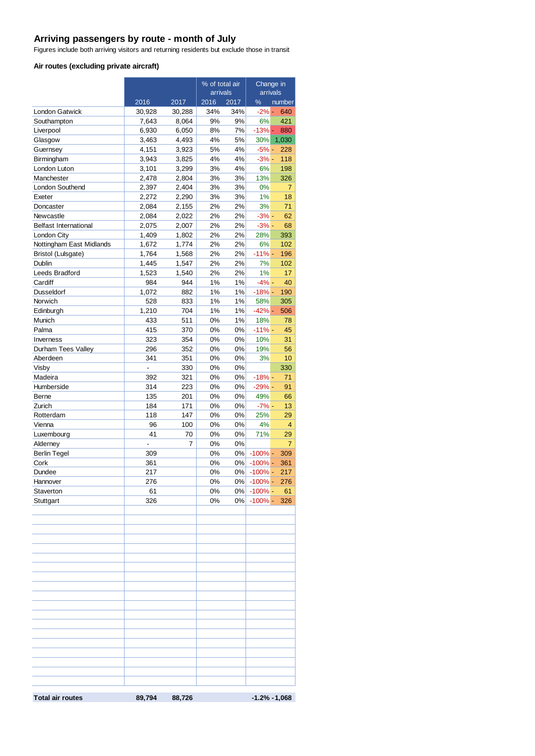#### **Arriving passengers by route - month of July**

Figures include both arriving visitors and returning residents but exclude those in transit

#### **Air routes (excluding private aircraft)**

|                              |                |                            | % of total air |             | Change in<br>arrivals |                  |
|------------------------------|----------------|----------------------------|----------------|-------------|-----------------------|------------------|
|                              |                |                            | arrivals       |             |                       |                  |
| London Gatwick               | 2016<br>30,928 | $\frac{2017}{ }$<br>30,288 | 2016<br>34%    | 2017<br>34% | %<br>$-2\%$ -         | number<br>640    |
| Southampton                  | 7,643          | 8,064                      | 9%             | 9%          | 6%                    | 421              |
| Liverpool                    | 6,930          | 6,050                      | 8%             | 7%          | $-13%$ -              | 880              |
| Glasgow                      | 3,463          | 4,493                      | 4%             | 5%          | 30%                   | 1,030            |
| Guernsey                     | 4,151          | 3,923                      | 5%             | 4%          | $-5% -$               | 228              |
| Birmingham                   | 3,943          | 3,825                      | 4%             | 4%          | $-3% -$               | 118              |
| London Luton                 | 3,101          | 3,299                      | 3%             | 4%          | 6%                    | 198              |
| Manchester                   | 2,478          | 2,804                      | 3%             | 3%          | 13%                   | 326              |
| London Southend              | 2,397          | 2,404                      | 3%             | 3%          | 0%                    | 7                |
| Exeter                       | 2,272          | 2,290                      | 3%             | 3%          | 1%                    | 18               |
| Doncaster                    | 2,084          | 2,155                      | 2%             | 2%          | 3%                    | 71               |
| Newcastle                    | 2,084          | 2,022                      | 2%             | 2%          | $-3% -$               | 62               |
| <b>Belfast International</b> | 2,075          | 2,007                      | 2%             | 2%          | $-3% -$               | 68               |
| London City                  | 1,409          | 1,802                      | 2%             | 2%          | 28%                   | 393              |
| Nottingham East Midlands     | 1,672          | 1,774                      | 2%             | 2%          | 6%                    | 102              |
| Bristol (Lulsgate)           | 1,764          | 1,568                      | 2%             | 2%          | $-11% -$              | 196              |
| Dublin                       | 1,445          | 1,547                      | 2%             | 2%          | 7%                    | 102              |
| Leeds Bradford               | 1,523          | 1,540                      | 2%             | 2%          | 1%                    | 17               |
| Cardiff                      | 984            | 944                        | 1%             | 1%          | $-4% -$               | 40               |
| <b>Dusseldorf</b>            | 1,072          | 882                        | 1%             | 1%          | $-18%$ -              | 190              |
| Norwich                      | 528            | 833                        | 1%             | 1%          | 58%                   | 305              |
| Edinburgh                    | 1,210          | 704                        | 1%             | 1%          | $-42% -$              | 506              |
| Munich                       | 433            | 511                        | 0%             | 1%          | 18%                   | 78               |
| Palma                        | 415            | 370                        | 0%             | 0%          | $-11% -$              | 45               |
| Inverness                    | 323            | 354                        | 0%             | 0%          | 10%                   | 31               |
| Durham Tees Valley           | 296            | 352                        | 0%             | 0%          | 19%                   | 56               |
| Aberdeen                     | 341            | 351                        | 0%             | 0%          | 3%                    | 10               |
| Visby                        | $\overline{a}$ | 330                        | 0%             | 0%          |                       | 330              |
| Madeira                      | 392            | 321                        | 0%             | 0%          | $-18% -$              | 71               |
| Humberside                   | 314            | 223                        | 0%             | 0%          | $-29% -$              | 91               |
| Berne                        | 135            | 201                        | 0%             | 0%          | 49%                   | 66               |
| Zurich                       | 184            | 171                        | 0%             | 0%          | $-7% -$               | 13               |
| Rotterdam                    | 118            | 147                        | 0%             | 0%          | 25%                   | 29               |
| Vienna                       | 96             | 100                        | 0%             | 0%          | 4%                    | 4                |
| Luxembourg                   | 41             | 70                         | 0%             | $0\%$       | 71%                   | 29               |
| Alderney                     | ä,             | 7                          | 0%             | $0\%$       |                       | $\overline{7}$   |
| <b>Berlin Tegel</b>          | 309            |                            | 0%             | 0%          | $-100\%$ -            | 309              |
| Cork                         | 361            |                            | 0%             | 0%          | $-100\%$ -            | 361              |
| Dundee                       | 217            |                            | 0%             | 0%          | $-100\%$ -            | 217              |
| Hannover                     | 276            |                            | $0\%$          |             | 0%  -100% -           | 276              |
| Staverton                    | 61             |                            | 0%             |             | $0\%$ -100% -         | 61               |
| Stuttgart                    | 326            |                            | 0%             | 0%          | $-100% -$             | 326              |
|                              |                |                            |                |             |                       |                  |
|                              |                |                            |                |             |                       |                  |
|                              |                |                            |                |             |                       |                  |
|                              |                |                            |                |             |                       |                  |
|                              |                |                            |                |             |                       |                  |
|                              |                |                            |                |             |                       |                  |
|                              |                |                            |                |             |                       |                  |
|                              |                |                            |                |             |                       |                  |
|                              |                |                            |                |             |                       |                  |
|                              |                |                            |                |             |                       |                  |
|                              |                |                            |                |             |                       |                  |
|                              |                |                            |                |             |                       |                  |
|                              |                |                            |                |             |                       |                  |
|                              |                |                            |                |             |                       |                  |
|                              |                |                            |                |             |                       |                  |
|                              |                |                            |                |             |                       |                  |
|                              |                |                            |                |             |                       |                  |
|                              |                |                            |                |             |                       |                  |
|                              |                |                            |                |             |                       |                  |
| <b>Total air routes</b>      | 89,794         | 88,726                     |                |             |                       | $-1.2\% - 1,068$ |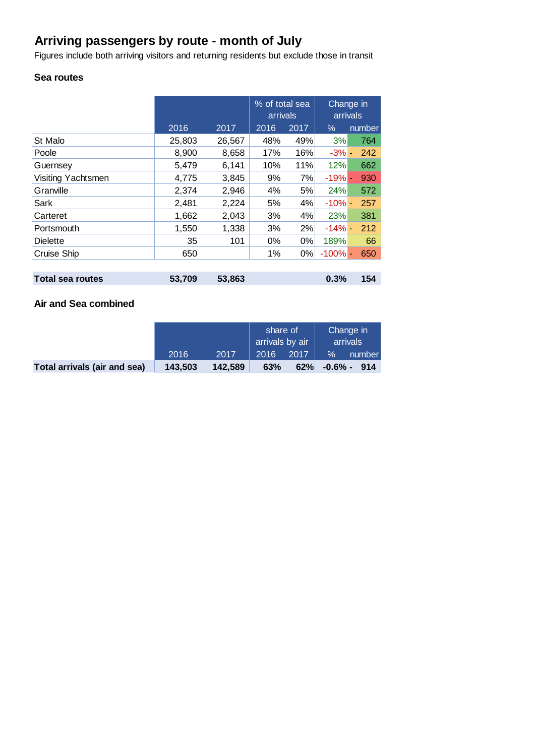# **Arriving passengers by route - month of July**

Figures include both arriving visitors and returning residents but exclude those in transit

# **Sea routes**

|                         |        |        | % of total sea<br>arrivals |       | Change in<br>arrivals |        |
|-------------------------|--------|--------|----------------------------|-------|-----------------------|--------|
|                         | 2016   | 2017   | 2016                       | 2017  | $\%$                  | number |
| St Malo                 | 25,803 | 26,567 | 48%                        | 49%   | 3%                    | 764    |
| Poole                   | 8,900  | 8,658  | 17%                        | 16%   | $-3% -$               | 242    |
| Guernsey                | 5,479  | 6,141  | 10%                        | 11%   | 12%                   | 662    |
| Visiting Yachtsmen      | 4,775  | 3,845  | 9%                         | 7%    | $-19%$ -              | 930    |
| Granville               | 2,374  | 2,946  | 4%                         | 5%    | 24%                   | 572    |
| Sark                    | 2,481  | 2,224  | 5%                         | 4%    | $-10% -$              | 257    |
| Carteret                | 1,662  | 2,043  | 3%                         | 4%    | 23%                   | 381    |
| Portsmouth              | 1,550  | 1,338  | 3%                         | 2%    | $-14%$ -              | 212    |
| <b>Dielette</b>         | 35     | 101    | $0\%$                      | $0\%$ | 189%                  | 66     |
| <b>Cruise Ship</b>      | 650    |        | 1%                         | $0\%$ | $-100%$ -             | 650    |
|                         |        |        |                            |       |                       |        |
| <b>Total sea routes</b> | 53.709 | 53,863 |                            |       | 0.3%                  | 154    |

## **Air and Sea combined**

|                              |         |         | share of<br>arrivals by air |      | Change in<br>arrivals |                |
|------------------------------|---------|---------|-----------------------------|------|-----------------------|----------------|
|                              | 2016    | 2017    | 2016                        | 2017 | $\%$                  | number         |
| Total arrivals (air and sea) | 143.503 | 142.589 | 63%                         | 62%  |                       | $-0.6\% - 914$ |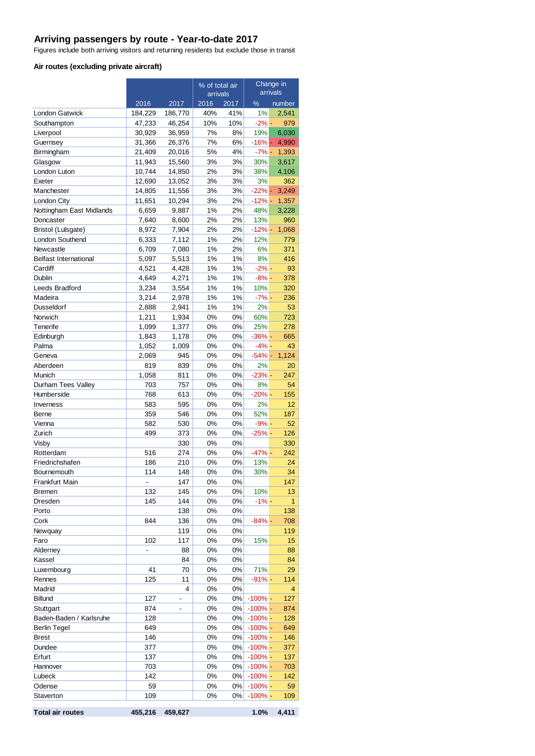#### **Arriving passengers by route - Year-to-date 2017**

Figures include both arriving visitors and returning residents but exclude those in transit

#### **Air routes (excluding private aircraft)**

|                              |                  |                          | % of total air |          | Change in  |                |
|------------------------------|------------------|--------------------------|----------------|----------|------------|----------------|
|                              | arrivals         |                          | arrivals       |          |            |                |
|                              | 2016             | 2017                     | 2016           | 2017     | $\%$       | number         |
| <b>London Gatwick</b>        | 184,229          | 186,770                  | 40%            | 41%      | 1%         | 2,541          |
| Southampton                  | 47,233           | 46,254                   | 10%            | 10%      | $-2\%$ -   | 979            |
| Liverpool                    | 30,929           | 36,959                   | 7%             | 8%       | 19%        | 6,030          |
| Guernsey                     | 31,366           | 26,376                   | 7%             | 6%       | $-16% -$   | 4,990          |
| Birmingham                   | 21,409           | 20,016                   | 5%             | 4%       | $-7\%$ -   | 1,393          |
| Glasgow                      | 11,943<br>10,744 | 15,560                   | 3%<br>2%       | 3%<br>3% | 30%<br>38% | 3,617<br>4,106 |
| London Luton<br>Exeter       | 12,690           | 14,850<br>13,052         | 3%             | 3%       | 3%         | 362            |
| Manchester                   | 14,805           | 11,556                   | 3%             | 3%       | $-22%$ -   | 3,249          |
| London City                  | 11,651           | 10,294                   | 3%             | 2%       | $-12% -$   | 1,357          |
| Nottingham East Midlands     | 6,659            | 9,887                    | 1%             | 2%       | 48%        | 3,228          |
| Doncaster                    | 7,640            | 8,600                    | 2%             | 2%       | 13%        | 960            |
| Bristol (Lulsgate)           | 8,972            | 7,904                    | 2%             | 2%       | $-12% -$   | 1,068          |
| London Southend              | 6,333            | 7,112                    | 1%             | 2%       | 12%        | 779            |
| Newcastle                    | 6,709            | 7,080                    | 1%             | 2%       | 6%         | 371            |
| <b>Belfast International</b> | 5,097            | 5,513                    | 1%             | 1%       | 8%         | 416            |
| Cardiff                      | 4,521            | 4,428                    | 1%             | 1%       | $-2% -$    | 93             |
| Dublin                       | 4,649            | 4,271                    | 1%             | 1%       | $-8\%$ -   | 378            |
| Leeds Bradford               | 3,234            | 3,554                    | 1%             | 1%       | 10%        | 320            |
| Madeira                      | 3,214            | 2,978                    | 1%             | 1%       | $-7%$ -    | 236            |
| <b>Dusseldorf</b>            | 2,888            | 2,941                    | 1%             | 1%       | 2%         | 53             |
| Norwich                      | 1,211            | 1,934                    | 0%             | 0%       | 60%        | 723            |
| Tenerife                     | 1,099            | 1,377                    | 0%             | 0%       | 25%        | 278            |
| Edinburgh                    | 1,843            | 1,178                    | 0%             | 0%       | $-36%$ -   | 665            |
| Palma                        | 1,052            | 1,009                    | 0%             | 0%       | $-4\%$ -   | 43             |
| Geneva                       | 2,069            | 945                      | 0%             | 0%       | $-54% -$   | 1,124          |
| Aberdeen                     | 819              | 839                      | 0%             | 0%       | 2%         | 20             |
| Munich                       | 1,058            | 811                      | 0%             | 0%       | $-23%$ -   | 247            |
| Durham Tees Valley           | 703              | 757                      | 0%             | 0%       | 8%         | 54             |
| Humberside                   | 768              | 613                      | 0%             | 0%       | $-20% -$   | 155            |
| Inverness                    | 583              | 595                      | 0%             | 0%       | 2%         | 12             |
| Berne                        | 359              | 546                      | 0%             | 0%       | 52%        | 187            |
| Vienna                       | 582              | 530                      | 0%             | 0%       | $-9\%$ -   | 52             |
| Zurich                       | 499              | 373                      | 0%             | 0%       | $-25%$ -   | 126            |
| Visby                        |                  | 330                      | 0%             | 0%       |            | 330            |
| Rotterdam                    | 516              | 274                      | 0%             | 0%       | $-47%$ -   | 242            |
| Friedrichshafen              | 186              | 210                      | 0%             | 0%       | 13%        | 24             |
| Bournemouth                  | 114              | 148                      | 0%             | 0%       | 30%        | 34             |
| Frankfurt Main               |                  | 147                      | 0%             | 0%       |            | 147            |
| <b>Bremen</b>                | 132              | 145                      | 0%             | 0%       | 10%        | 13             |
| Dresden                      | 145              | 144                      | 0%             | 0%       | $-1\%$ -   | 1              |
| Porto                        |                  | 138                      | 0%             | 0%       |            | 138            |
| Cork                         | 844              | 136                      | 0%             | 0%       | $-84\%$ -  | 708            |
| Newquay                      |                  | 119                      | 0%             | 0%       |            | 119            |
| Faro                         | 102              | 117                      | 0%             | 0%       | 15%        | 15             |
| Alderney                     | L.               | 88                       | 0%             | 0%       |            | 88             |
| Kassel                       |                  | 84                       | 0%             | 0%       |            | 84             |
| Luxembourg                   | 41               | 70                       | 0%             | 0%       | 71%        | 29             |
| Rennes                       | 125              | 11                       | 0%             | 0%       | $-91%$ -   | 114            |
| Madrid                       |                  | 4                        | 0%             | 0%       |            | 4              |
| Billund                      | 127              | $\overline{\phantom{a}}$ | 0%             | 0%       | $-100\%$ - | 127            |
| Stuttgart                    | 874              | $\blacksquare$           | 0%             | 0%       | $-100\%$ - | 874            |
| Baden-Baden / Karlsruhe      | 128              |                          | 0%             | 0%       | $-100%$ -  | 128            |
| <b>Berlin Tegel</b>          | 649              |                          | 0%             | 0%       | $-100%$ -  | 649            |
| <b>Brest</b>                 | 146              |                          | 0%             | 0%       | $-100\%$ - | 146            |
| Dundee                       | 377              |                          | 0%             | 0%       | $-100\%$ - | 377            |
| Erfurt                       | 137              |                          | 0%             | 0%       | $-100\%$ - | 137            |
| Hannover                     | 703              |                          | 0%             | 0%       | $-100\%$ - | 703            |
| Lubeck                       | 142              |                          | 0%             | 0%       | $-100\%$ - | 142            |
| Odense                       | 59               |                          | 0%             | 0%       | $-100\%$ - | 59             |
| Staverton                    | 109              |                          | 0%             | 0%       | $-100\%$ - | 109            |
| <b>Total air routes</b>      | 455,216          | 459,627                  |                |          | 1.0%       | 4,411          |